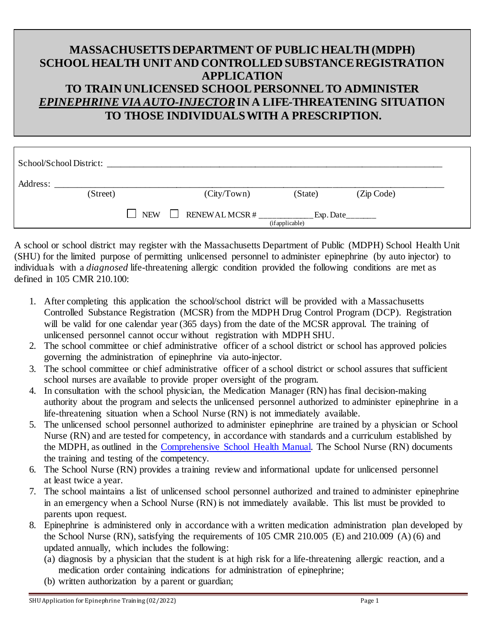## **MASSACHUSETTS DEPARTMENT OF PUBLIC HEALTH (MDPH) SCHOOL HEALTH UNIT AND CONTROLLED SUBSTANCEREGISTRATION APPLICATION TO TRAIN UNLICENSED SCHOOL PERSONNEL TO ADMINISTER** *EPINEPHRINE VIA AUTO-INJECTOR***IN A LIFE-THREATENING SITUATION TO THOSE INDIVIDUALS WITH A PRESCRIPTION.**

|                                                                        | School/School District: |  |             |         |            |  |
|------------------------------------------------------------------------|-------------------------|--|-------------|---------|------------|--|
| Address:                                                               | (Street)                |  | (City/Town) | (State) | (Zip Code) |  |
| RENEWAL MCSR $#$<br>$\Box$ NEW<br>$\text{Exp.Date}$<br>(if applicable) |                         |  |             |         |            |  |

A school or school district may register with the Massachusetts Department of Public (MDPH) School Health Unit (SHU) for the limited purpose of permitting unlicensed personnel to administer epinephrine (by auto injector) to individuals with a *diagnosed* life-threatening allergic condition provided the following conditions are met as defined in 105 CMR 210.100:

- 1. After completing this application the school/school district will be provided with a Massachusetts Controlled Substance Registration (MCSR) from the MDPH Drug Control Program (DCP). Registration will be valid for one calendar year (365 days) from the date of the MCSR approval. The training of unlicensed personnel cannot occur without registration with MDPH SHU.
- 2. The school committee or chief administrative officer of a school district or school has approved policies governing the administration of epinephrine via auto-injector.
- 3. The school committee or chief administrative officer of a school district or school assures that sufficient school nurses are available to provide proper oversight of the program.
- 4. In consultation with the school physician, the Medication Manager (RN) has final decision-making authority about the program and selects the unlicensed personnel authorized to administer epinephrine in a life-threatening situation when a School Nurse (RN) is not immediately available.
- 5. The unlicensed school personnel authorized to administer epinephrine are trained by a physician or School Nurse (RN) and are tested for competency, in accordance with standards and a curriculum established by the MDPH, as outlined in the [Comprehensive School Health Manual.](https://www.mass.gov/doc/comprehensive-school-health-manual/download) The School Nurse (RN) documents the training and testing of the competency.
- 6. The School Nurse (RN) provides a training review and informational update for unlicensed personnel at least twice a year.
- 7. The school maintains a list of unlicensed school personnel authorized and trained to administer epinephrine in an emergency when a School Nurse (RN) is not immediately available. This list must be provided to parents upon request.
- 8. Epinephrine is administered only in accordance with a written medication administration plan developed by the School Nurse (RN), satisfying the requirements of 105 CMR 210.005 (E) and 210.009 (A) (6) and updated annually, which includes the following:
	- (a) diagnosis by a physician that the student is at high risk for a life-threatening allergic reaction, and a medication order containing indications for administration of epinephrine;
	- (b) written authorization by a parent or guardian;